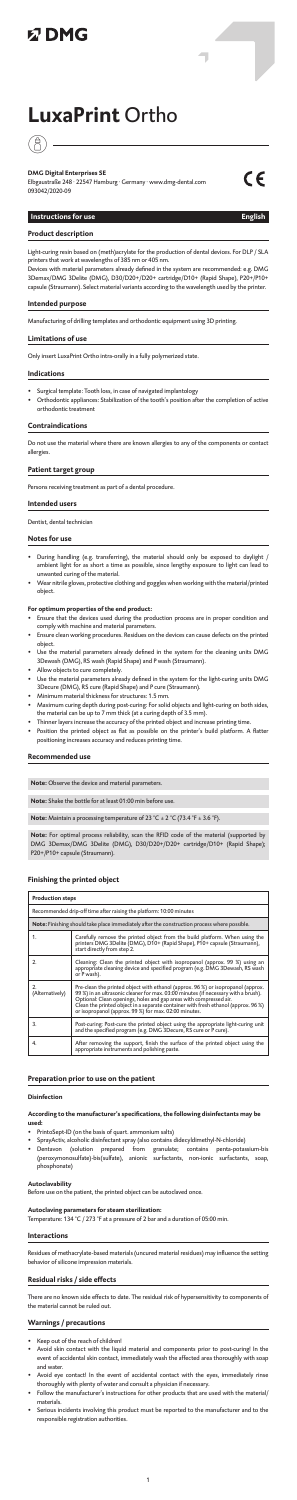# **以DMG**

# **LuxaPrint** Ortho

# $\hat{A}$

**DMG Digital Enterprises SE** Elbgaustraße 248 · 22547 Hamburg · Germany · www.dmg-dental.com 093042/2020-09



ī

### **Instructions for use English**

#### **Product description**

Light-curing resin based on (meth)acrylate for the production of dental devices. For DLP / SLA printers that work at wavelengths of 385 nm or 405 nm.

- Surgical template: Tooth loss, in case of navigated implantology
- Orthodontic appliances: Stabilization of the tooth's position after the completion of active .<br>orthodontic tre

Devices with material parameters already defined in the system are recommended: e.g. DMG 3Demax/DMG 3Delite (DMG), D30/D20+/D20+ cartridge/D10+ (Rapid Shape), P20+/P10+ capsule (Straumann). Select material variants according to the wavelength used by the printer.

#### **Intended purpose**

Manufacturing of drilling templates and orthodontic equipment using 3D printing.

#### **Limitations of use**

Only insert LuxaPrint Ortho intra-orally in a fully polymerized state.

#### **Indications**

#### **Contraindications**

Do not use the material where there are known allergies to any of the components or contact allergies.

#### **Patient target group**

Persons receiving treatment as part of a dental procedure.

#### **Intended users**

Dentist, dental technician

#### **Notes for use**

- During handling (e.g. transferring), the material should only be exposed to daylight / ambient light for as short a time as possible, since lengthy exposure to light can lead to unwanted curing of the material.
- Wear nitrile gloves, protective clothing and goggles when working with the material/printed object.

- **For optimum properties of the end product:** Ensure that the devices used during the production process are in proper condition and comply with machine and material parameters.
- Ensure clean working procedures. Residues on the devices can cause defects on the printed object.<br>Use the material pa
- rameters already defined in the system for the cleaning units DMG 3Dewash (DMG), RS wash (Rapid Shape) and P wash (Straumann).
- Allow objects to cure completely.
- Use the material parameters already defined in the system for the light-curing units DMG 3Decure (DMG), RS cure (Rapid Shape) and P cure (Straumann).
- Minimum material thickness for structures: 1.5 mm.
- Maximum curing depth during post-curing: For solid objects and light-curing on both sides, the material can be up to 7 mm thick (at a curing depth of 3.5 mm).
- Thinner layers increase the accuracy of the printed object and increase printing time.
- Position the printed object as flat as possible on the printer's build platform. A flatter positioning increases accuracy and reduces printing time.

#### **Recommended use**

**Note:** Observe the device and material parameters.

**Note:** Shake the bottle for at least 01:00 min before use.

**Note:** Maintain a processing temperature of 23 °C ± 2 °C (73.4 °F ± 3.6 °F).

**Note:** For optimal process reliability, scan the RFID code of the material (supported by DMG 3Demax/DMG 3Delite (DMG), D30/D20+/D20+ cartridge/D10+ (Rapid Shape); P20+/P10+ capsule (Straumann).

#### **Finishing the printed object**

| <b>Production steps</b>                                                                      |                                                                                                                                                                                         |
|----------------------------------------------------------------------------------------------|-----------------------------------------------------------------------------------------------------------------------------------------------------------------------------------------|
| Recommended drip-off time after raising the platform: 10:00 minutes                          |                                                                                                                                                                                         |
| Note: Finishing should take place immediately after the construction process where possible. |                                                                                                                                                                                         |
|                                                                                              | Carefully remove the printed object from the build platform. When using the<br>printers DMG 3Delite (DMG), D10+ (Rapid Shape), P10+ capsule (Straumann),<br>start directly from step 2. |
|                                                                                              | Cleaning: Clean the printed object with isopropanol (approx. 99 %) using an<br>appropriate cleaning device and specified program (e.g. DMG 3Dewash, RS wash<br>or P wash).              |

| (Alternatively) | Pre-clean the printed object with ethanol (approx. 96 %) or isopropanol (approx.<br>99 %) in an ultrasonic cleaner for max. 03:00 minutes (if necessary with a brush).<br>Optional: Clean openings, holes and gap areas with compressed air.<br>Clean the printed object in a separate container with fresh ethanol (approx. 96 %)<br>or isopropanol (approx. 99 %) for max. 02:00 minutes. |
|-----------------|---------------------------------------------------------------------------------------------------------------------------------------------------------------------------------------------------------------------------------------------------------------------------------------------------------------------------------------------------------------------------------------------|
|                 | Post-curing: Post-cure the printed object using the appropriate light-curing unit<br>and the specified program (e.g. DMG 3Decure, RS cure or P cure).                                                                                                                                                                                                                                       |
| 4.              | After removing the support, finish the surface of the printed object using the<br>appropriate instruments and polishing paste.                                                                                                                                                                                                                                                              |

#### **Preparation prior to use on the patient**

#### **Disinfection**

#### **According to the manufacturer's specifications, the following disinfectants may be used:**

- PrintoSept-ID (on the basis of quart. ammonium salts)
- SprayActiv, alcoholic disinfectant spray (also contains didecyldimethyl-N-chloride)
- Dentavon (solution prepared from granulate; contains penta-potassium-bis (peroxymonosulfate)-bis(sulfate), anionic surfactants, non-ionic surfactants, soap, phosphonate)

## **Autoclavability**

**coclaved ......**<br>ore use on the patient, the printed object can be autoclaved once.

**Autoclaving parameters for steam sterilization:**  Temperature: 134 °C / 273 °F at a pressure of 2 bar and a duration of 05:00 min.

#### **Interactions**

Residues of methacrylate-based materials (uncured material residues) may influence the setting behavior of silicone impression materials.

#### **Residual risks / side effects**

There are no known side effects to date. The residual risk of hypersensitivity to components of the material cannot be ruled out.

#### **Warnings / precautions**

- Keep out of the reach of children!
- Avoid skin contact with the liquid material and components prior to post-curing! In the event of accidental skin contact, immediately wash the affected area thoroughly with soap and water.
- Avoid eye contact! In the event of accidental contact with the eyes, immediately rinse thoroughly with plenty of water and consult a physician if necessary.
- Follow the manufacturer's instructions for other products that are used with the material/ materials.
- Serious incidents involving this product must be reported to the manufacturer and to the responsible registration authorities.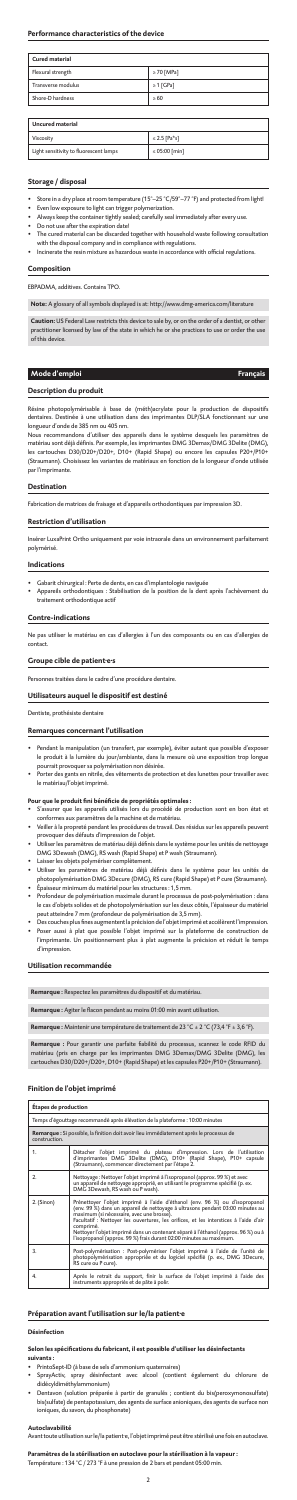#### **Performance characteristics of the device**

| <b>Cured material</b> |                 |
|-----------------------|-----------------|
| Flexural strength     | $\geq 70$ [MPa] |
| Transverse modulus    | $\geq 1$ [GPa]  |
| Shore-D hardness      | >60             |

| <b>Uncured material</b>                |                    |
|----------------------------------------|--------------------|
| Viscosity                              | $\leq$ 2.5 [Pa*s]  |
| Light sensitivity to fluorescent lamps | $\leq 05:00$ [min] |

### **Storage / disposal**

- Store in a dry place at room temperature (15°–25 °C/59°–77 °F) and protected from light!
- Even low exposure to light can trigger polymerization.
- Always keep the container tightly sealed; carefully seal immediately after every use.
- Do not use after the expiration date! • The cured material can be discarded together with household waste following consultation
- with the disposal company and in compliance with regulations.
- Incinerate the resin mixture as hazardous waste in accordance with official regulations.

Résine photopolymérisable à base de (méth)acrylate pour la production de dispositifs<br>dentaires. Destinée à une utilisation dans des imprimantes DLP/SLA fonctionnant sur une s. Destinée à une utilisation dans des imprimantes DLP/SLA fonctionnant longueur d'onde de 385 nm ou 405 nm.

#### **Composition**

EBPADMA, additives. Contains TPO.

**Note:** A glossary of all symbols displayed is at: http://www.dmg-america.com/literature

**Caution:** US Federal Law restricts this device to sale by, or on the order of a dentist, or other practitioner licensed by law of the state in which he or she practices to use or order the use of this device.

#### **Mode d'emploi Français**

#### **Description du produit**

Nous recommandons d'utiliser des appareils dans le système desquels les paramètres de matériau sont déjà définis. Par exemple, les imprimantes DMG 3Demax/DMG 3Delite (DMG), les cartouches D30/D20+/D20+, D10+ (Rapid Shape) ou encore les capsules P20+/P10+ (Straumann). Choisissez les variantes de matériaux en fonction de la longueur d'onde utilisée par l'imprimante.

#### **Destination**

Fabrication de matrices de fraisage et d'appareils orthodontiques par impression 3D.

#### **Restriction d'utilisation**

Insérer LuxaPrint Ortho uniquement par voie intraorale dans un environnement parfaitement polymérisé.

#### **Indications**

- Gabarit chirurgical : Perte de dents, en cas d'implantologie naviguée
- Appareils orthodontiques : Stabilisation de la position de la dent après l'achèvement du traitement orthodontique actif

#### **Contre-indications**

Ne pas utiliser le matériau en cas d'allergies à l'un des composants ou en cas d'allergies de contact.

#### **Groupe cible de patient·e·s**

ies traitées dans le cadre d'une procédure dentaire.

#### **Utilisateurs auquel le dispositif est destiné**

Dentiste, prothésiste dentaire

#### **Remarques concernant l'utilisation**

- Pendant la manipulation (un transfert, par exemple), éviter autant que possible d'exposer le produit à la lumière du jour/ambiante, dans la mesure où une exposition trop longue pourrait provoquer sa polymérisation non désirée.
- Porter des gants en nitrile, des vêtements de protection et des lunettes pour travailler avec le matériau/l'objet imprimé.

#### **Pour que le produit fini bénéficie de propriétés optimales :**

- S'assurer que les appareils utilisés lors du procédé de production sont en bon état et conformes aux paramètres de la machine et de matériau.
- Veiller à la propreté pendant les procédures de travail. Des résidus sur les appareils peuvent provoquer des défauts d'impression de l'objet.
- Utiliser les paramètres de matériau déjà définis dans le système pour les unités de nettoyage DMG 3Dewash (DMG), RS wash (Rapid Shape) et P wash (Straumann).
- Laisser les objets polymériser complètement.
- Utiliser les paramètres de matériau déjà définis dans le système pour les unités de photopolymérisation DMG 3Decure (DMG), RS cure (Rapid Shape) et P cure (Straumann). • Épaisseur minimum du matériel pour les structures : 1,5 mm.
- Profondeur de polymérisation maximale durant le processus de post-polymérisation : dans le cas d'objets solides et de photopolymérisation sur les deux côtés, l'épaisseur du matériel peut atteindre 7 mm (profondeur de polymérisation de 3,5 mm).
- Des couches plus fines augmentent la précision de l'objet imprimé et accélèrent l'impression. • Poser aussi à plat que possible l'objet imprimé sur la plateforme de construction de l'imprimante. Un positionnement plus à plat augmente la précision et réduit le temps d'impression.

#### **Utilisation recommandée**

**Remarque :** Respectez les paramètres du dispositif et du matériau.

**Remarque :** Agiter le flacon pendant au moins 01:00 min avant utilisation.

**Remarque :** Maintenir une température de traitement de 23 °C ± 2 °C (73,4 °F ± 3,6 °F).

**Remarque :** Pour garantir une parfaite fiabilité du processus, scannez le code RFID du matériau (pris en charge par les imprimantes DMG 3Demax/DMG 3Delite (DMG), les cartouches D30/D20+/D20+, D10+ (Rapid Shape) et les capsules P20+/P10+ (Straumann).

#### **Finition de l'objet imprimé**

| <b>Étapes de production</b>                                                                              |                                                                                                                                                                                                                                                                                                                                                                                                                                                                              |  |
|----------------------------------------------------------------------------------------------------------|------------------------------------------------------------------------------------------------------------------------------------------------------------------------------------------------------------------------------------------------------------------------------------------------------------------------------------------------------------------------------------------------------------------------------------------------------------------------------|--|
| Temps d'égouttage recommandé après élévation de la plateforme : 10:00 minutes                            |                                                                                                                                                                                                                                                                                                                                                                                                                                                                              |  |
| Remarque : Si possible, la finition doit avoir lieu immédiatement après le processus de<br>construction. |                                                                                                                                                                                                                                                                                                                                                                                                                                                                              |  |
| 1.                                                                                                       | Détacher l'objet imprimé du plateau d'impression. Lors de l'utilisation<br>d'imprimantes DMG 3Delite (DMG), D10+ (Rapid Shape), P10+ capsule<br>(Straumann), commencer directement par l'étape 2.                                                                                                                                                                                                                                                                            |  |
| 2.                                                                                                       | Nettoyage : Nettoyer l'objet imprimé à l'isopropanol (approx. 99 %) et avec<br>un appareil de nettoyage approprié, en utilisant le programme spécifié (p. ex.<br>DMG 3Dewash, RS wash ou P wash).                                                                                                                                                                                                                                                                            |  |
| 2. (Sinon)                                                                                               | Prénettoyer l'objet imprimé à l'aide d'éthanol (env. 96 %) ou d'isopropanol<br>(env. 99 %) dans un appareil de nettoyage à ultrasons pendant 03:00 minutes au<br>maximum (si nécessaire, avec une brosse).<br>Facultatif : Nettoyer les ouvertures, les orifices, et les interstices à l'aide d'air<br>comprimé.<br>Nettoyer l'objet imprimé dans un contenant séparé à l'éthanol (approx. 96 %) ou à<br>l'isopropanol (approx. 99 %) frais durant 02:00 minutes au maximum. |  |
| 3.                                                                                                       | Post-polymérisation : Post-polymériser l'objet imprimé à l'aide de l'unité de<br>photopolymérisation appropriée et du logiciel spécifié (p. ex., DMG 3Decure,<br>RS cure ou P cure).                                                                                                                                                                                                                                                                                         |  |
| 4.                                                                                                       | Après le retrait du support, finir la surface de l'objet imprimé à l'aide des<br>instruments appropriés et de pâte à polir.                                                                                                                                                                                                                                                                                                                                                  |  |

#### **Préparation avant l'utilisation sur le/la patient·e**

#### **Désinfection**

#### **Selon les spécifications du fabricant, il est possible d'utiliser les désinfectants suivants :**

- PrintoSept-ID (à base de sels d'ammonium quaternaires)
- SprayActiv, spray désinfectant avec alcool (contient également du chlorure de didécyldiméthylammonium)
- Dentavon (solution préparée à partir de granulés ; contient du bis(peroxymonosulfate) bis(sulfate) de pentapotassium, des agents de surface anioniques, des agents de surface non ioniques, du savon, du phosphonate)

#### **Autoclavabilité**

Avant toute utilisation sur le/la patient·e, l'objet imprimé peut être stérilisé une fois en autoclave.

#### **Paramètres de la stérilisation en autoclave pour la stérilisation à la vapeur :**

Température : 134 °C / 273 °F à une pression de 2 bars et pendant 05:00 min.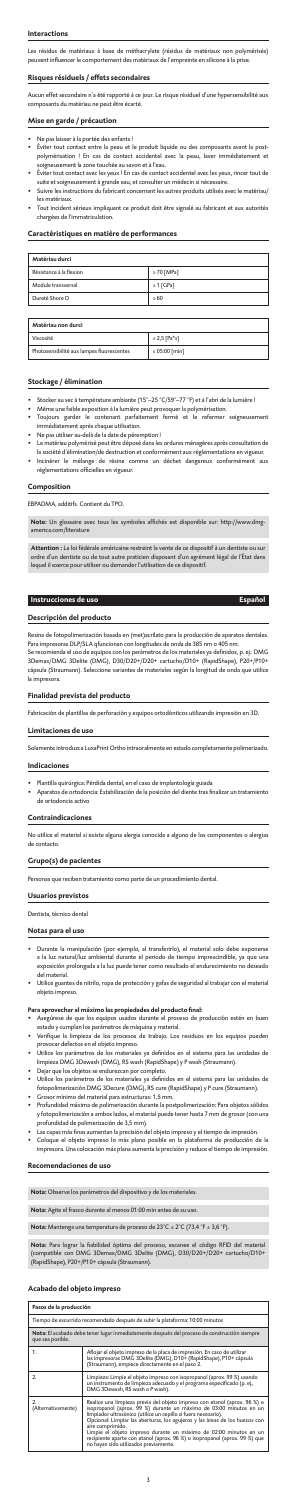#### **Interactions**

Les résidus de matériaux à base de méthacrylate (résidus de matériaux non polymérisés) peuvent influencer le comportement des matériaux de l'empreinte en silicone à la prise.

#### **Risques résiduels / effets secondaires**

Aucun effet secondaire n'a été rapporté à ce jour. Le risque résiduel d'une hypersensibilité aux composants du matériau ne peut être écarté.

#### **Mise en garde / précaution**

- Stocker au sec à température ambiante (15°–25 °C/59°–77 °F) et à l'abri de la lumière !
- Même une faible exposition à la lumière peut provoquer la polymérisation.
- Toujours garder le contenant parfaitement fermé et le refermer soigneuse immédiatement après chaque utilisation.
- Ne pas utiliser au-delà de la date de péremption !
- Le matériau polymérisé peut être déposé dans les ordures ménagères après consultation de la société d'élimination/de destruction et conformément aux réglementations en vigueur. Incinérer le mélange de résine comme un déchet dangereux conformém
- Ne pas laisser à la portée des enfants !
- Éviter tout contact entre la peau et le produit liquide ou des composants avant la postpolymérisation ! En cas de contact accidentel avec la peau, laver immédiateme soigneusement la zone touchée au savon et à l'eau.
- .<br>Éviter tout contact avec les yeux ! En cas de contact accidentel avec les yeux, rincer tout de<br>suite et soigneusement à grande eau. et consulter un médecin si nécessaire. suite et soigneusement à grande eau, et consulter un médecin si nécess
- Suivre les instructions du fabricant concernant les autres produits utilisés avec le matériau/ les matériaux.
- Tout incident sérieux impliquant ce produit doit être signalé au fabricant et aux autorités chargées de l'immatriculation.

#### **Caractéristiques en matière de performances**

| Matériau durci          |                 |
|-------------------------|-----------------|
| Résistance à la flexion | $\geq 70$ [MPa] |
| Module transversal      | $\geq 1$ [GPa]  |
| Dureté Shore D          | >60             |

| Matériau non durci                        |                    |
|-------------------------------------------|--------------------|
| Viscosité                                 | $\leq$ 2.5 [Pa*s]  |
| Photosensibilité aux lampes fluorescentes | $\leq 05:00$ [min] |

#### **Stockage / élimination**

# réglementations officielles en vigueur.

#### **Composition**

EBPADMA, additifs. Contient du TPO.

**Note:** Un glossaire avec tous les symboles affichés est disponible sur: http://www.dmgamerica.com/literature

**Attention :** La loi fédérale américaine restreint la vente de ce dispositif à un dentiste ou sur ordre d'un dentiste ou de tout autre praticien disposant d'un agrément légal de l'État dans lequel il exerce pour utiliser ou demander l'utilisation de ce dispositif.

#### **Instrucciones de uso Español**

#### **Descripción del producto**

Resina de fotopolimerización basada en (met)acrilato para la producción de aparatos dentales. Para impresoras DLP/SLA qfuncionan con longitudes de onda de 385 nm o 405 nm.

- Asegúrese de que los equipos usados durante el proceso de producción estén en b estado y cumplan los parámetros de máquina y material.
- Verifique la limpieza de los procesos de trabajo. Los residuos en los equipos pueden provocar defectos en el objeto impreso.
- Utilice los parámetros de los materiales ya definidos en el sistema para las unidades de limpieza DMG 3Dewash (DMG), RS wash (RapidShape) y P wash (Straumann).
- Dejar que los objetos se endurezcan por completo.
- Utilice los parámetros de los materiales ya definidos en el sistema para las unidades de fotopolimerización DMG 3Decure (DMG), RS cure (RapidShape) y P cure (Straumann).
- Grosor mínimo del material para estructuras: 1,5 mm.
- Profundidad máxima de polimerización durante la postpolimerización: Para objetos sólidos y fotopolimerización a ambos lados, el material puede tener hasta 7 mm de grosor (con una profundidad de polimerización de 3,5 mm).
- Las capas más finas aumentan la precisión del objeto impreso y el tiempo de impresión.
- Coloque el objeto impreso lo más plano posible en la plataforma de producción de la impresora. Una colocación más plana aumenta la precisión y reduce el tiempo de impresión.

Se recomienda el uso de equipos con los parámetros de los materiales ya definidos, p. ej.: DMG 3Demax/DMG 3Delite (DMG), D30/D20+/D20+ cartucho/D10+ (RapidShape), P20+/P10+ cápsula (Straumann). Seleccione variantes de materiales según la longitud de onda que utilice la impresora.

#### **Finalidad prevista del producto**

Fabricación de plantillas de perforación y equipos ortodónticos utilizando impresión en 3D.

### **Limitaciones de uso**

amente introduzca LuxaPrint Ortho intraoralmente en estado completamente polimerizado.

#### **Indicaciones**

- Plantilla quirúrgica: Pérdida dental, en el caso de implantología guiada
- Aparatos de ortodoncia: Estabilización de la posición del diente tras finalizar un tratamiento de ortodoncia activo

#### **Contraindicaciones**

No utilice el material si existe alguna alergia conocida a alguno de los componentes o alergias de contacto.

#### **Grupo(s) de pacientes**

Personas que reciben tratamiento como parte de un procedimiento dental.

# **Usuarios previstos**

### Dentista, técnico dental

#### **Notas para el uso**

• Durante la manipulación (por ejemplo, al transferirlo), el material solo debe exponerse a la luz natural/luz ambiental durante el periodo de tiempo imprescindible, ya que una exposición prolongada a la luz puede tener como resultado el endurecimiento no deseado del material.

• Utilice guantes de nitrilo, ropa de protección y gafas de seguridad al trabajar con el material objeto impreso.

#### **Para aprovechar al máximo las propiedades del producto final:**

#### **Recomendaciones de uso**

**Nota:** Observe los parámetros del dispositivo y de los materiales.

**Nota:** Agite el frasco durante al menos 01:00 min antes de su uso.

**Nota:** Mantenga una temperatura de proceso de 23°C ± 2°C (73,4 °F ± 3,6 °F).

**Nota:** Para lograr la fiabilidad óptima del proceso, escanee el código RFID del material (compatible con DMG 3Demax/DMG 3Delite (DMG), D30/D20+/D20+ cartucho/D10+ (RapidShape), P20+/P10+ cápsula (Straumann).

#### **Acabado del objeto impreso**

| Pasos de la producción                                                                                           |                                                                                                                                                                                                                                                                                                                                                                                                                                                                                                                  |
|------------------------------------------------------------------------------------------------------------------|------------------------------------------------------------------------------------------------------------------------------------------------------------------------------------------------------------------------------------------------------------------------------------------------------------------------------------------------------------------------------------------------------------------------------------------------------------------------------------------------------------------|
| Tiempo de escurrido recomendado después de subir la plataforma: 10:00 minutos                                    |                                                                                                                                                                                                                                                                                                                                                                                                                                                                                                                  |
| Nota: El acabado debe tener lugar inmediatamente después del proceso de construcción siempre<br>que sea posible. |                                                                                                                                                                                                                                                                                                                                                                                                                                                                                                                  |
| 1.                                                                                                               | Aflojar el objeto impreso de la placa de impresión. En caso de utilizar<br>las impresoras DMG 3Delite (DMG), D10+ (RapidShape), P10+ cápsula<br>(Straumann), empiece directamente en el paso 2.                                                                                                                                                                                                                                                                                                                  |
| 2.                                                                                                               | Limpieza: Limpie el objeto impreso con isopropanol (aprox. 99 %) usando<br>un instrumento de limpieza adecuado y el programa especificado (p. ej.,<br>DMG 3Dewash, RS wash o P wash).                                                                                                                                                                                                                                                                                                                            |
| 2.<br>(Alternativamente)                                                                                         | Realice una limpieza previa del objeto impreso con etanol (aprox. 96 %) o<br>isopropanol (aprox. 99 %) durante un máximo de 03:00 minutos en un<br>limpiador ultrasónico (utilíce un cepillo si fuera necesario).<br>Opcional: Limpiar las aberturas, los agujeros y las áreas de los huecos con<br>aire comprimido.<br>Limpie el objeto impreso durante un máximo de 02:00 minutos en un<br>recipiente aparte con etanol (aprox. 96 %) o isopropanol (aprox. 99 %) que<br>no hayan sido utilizados previamente. |